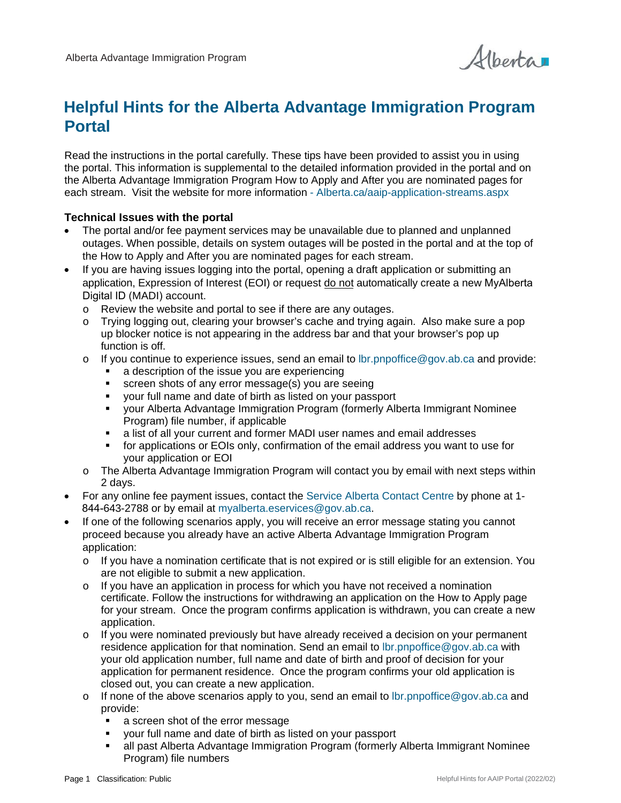

# **Helpful Hints for the Alberta Advantage Immigration Program Portal**

Read the instructions in the portal carefully. These tips have been provided to assist you in using the portal. This information is supplemental to the detailed information provided in the portal and on the Alberta Advantage Immigration Program How to Apply and After you are nominated pages for each stream. Visit the website for more information - [Alberta.ca/aaip-application-streams.aspx](http://www.alberta.ca/aaip-application-streams.aspx)

#### **Technical Issues with the portal**

- The portal and/or fee payment services may be unavailable due to planned and unplanned outages. When possible, details on system outages will be posted in the portal and at the top of the How to Apply and After you are nominated pages for each stream.
- If you are having issues logging into the portal, opening a draft application or submitting an application, Expression of Interest (EOI) or request do not automatically create a new MyAlberta Digital ID (MADI) account.
	- o Review the website and portal to see if there are any outages.<br>
	o Trving logging out, clearing your browser's cache and trying ac
	- Trying logging out, clearing your browser's cache and trying again. Also make sure a pop up blocker notice is not appearing in the address bar and that your browser's pop up function is off.
	- $\circ$  If you continue to experience issues, send an email to Ibr. pnpoffice @gov.ab.ca and provide:
		- a description of the issue you are experiencing
		- screen shots of any error message(s) you are seeing
		- your full name and date of birth as listed on your passport
		- your Alberta Advantage Immigration Program (formerly Alberta Immigrant Nominee Program) file number, if applicable
		- a list of all your current and former MADI user names and email addresses<br>
		tor applications or EOIs only, confirmation of the email address you want to
		- for applications or EOIs only, confirmation of the email address you want to use for your application or EOI
	- o The Alberta Advantage Immigration Program will contact you by email with next steps within 2 days.
- For any online fee payment issues, contact th[e Service Alberta Contact Centre](https://eservices.alberta.ca/contact/) by phone at 1- 844-643-2788 or by email at [myalberta.eservices@gov.ab.ca.](mailto:myalberta.eservices@gov.ab.ca)
- If one of the following scenarios apply, you will receive an error message stating you cannot proceed because you already have an active Alberta Advantage Immigration Program application:
	- $\circ$  If you have a nomination certificate that is not expired or is still eligible for an extension. You are not eligible to submit a new application.
	- $\circ$  If you have an application in process for which you have not received a nomination certificate. Follow the instructions for withdrawing an application on the How to Apply page for your stream. Once the program confirms application is withdrawn, you can create a new application.
	- o If you were nominated previously but have already received a decision on your permanent residence application for that nomination. Send an email t[o lbr.pnpoffice@gov.ab.ca](mailto:lbr.pnpoffice@gov.ab.ca) with your old application number, full name and date of birth and proof of decision for your application for permanent residence. Once the program confirms your old application is closed out, you can create a new application.
	- o If none of the above scenarios apply to you, send an email to [lbr.pnpoffice@gov.ab.ca](mailto:lbr.pnpoffice@gov.ab.ca) and provide:
		- a screen shot of the error message
		- your full name and date of birth as listed on your passport
		- all past Alberta Advantage Immigration Program (formerly Alberta Immigrant Nominee Program) file numbers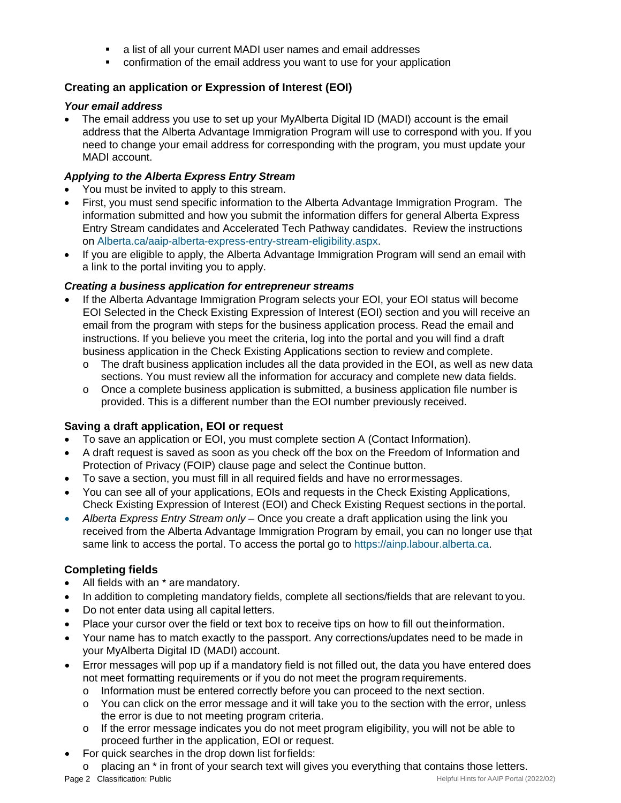- a list of all your current MADI user names and email addresses
- confirmation of the email address you want to use for your application

## **Creating an application or Expression of Interest (EOI)**

#### *Your email address*

• The email address you use to set up your MyAlberta Digital ID (MADI) account is the email address that the Alberta Advantage Immigration Program will use to correspond with you. If you need to change your email address for corresponding with the program, you must update your MADI account.

## *Applying to the Alberta Express Entry Stream*

- You must be invited to apply to this stream.
- First, you must send specific information to the Alberta Advantage Immigration Program. The information submitted and how you submit the information differs for general Alberta Express Entry Stream candidates and Accelerated Tech Pathway candidates. Review the instructions on [Alberta.ca/aaip-alberta-express-entry-stream-eligibility.aspx.](https://www.alberta.ca/aaip-alberta-express-entry-stream-eligibility.aspx)
- If you are eligible to apply, the Alberta Advantage Immigration Program will send an email with a link to the portal inviting you to apply.

#### *Creating a business application for entrepreneur streams*

- If the Alberta Advantage Immigration Program selects your EOI, your EOI status will become EOI Selected in the Check Existing Expression of Interest (EOI) section and you will receive an email from the program with steps for the business application process. Read the email and instructions. If you believe you meet the criteria, log into the portal and you will find a draft business application in the Check Existing Applications section to review and complete.
	- $\circ$  The draft business application includes all the data provided in the EOI, as well as new data sections. You must review all the information for accuracy and complete new data fields.
	- $\circ$  Once a complete business application is submitted, a business application file number is provided. This is a different number than the EOI number previously received.

## **Saving a draft application, EOI or request**

- To save an application or EOI, you must complete section A (Contact Information).
- A draft request is saved as soon as you check off the box on the Freedom of Information and Protection of Privacy (FOIP) clause page and select the Continue button.
- To save a section, you must fill in all required fields and have no errormessages.
- You can see all of your applications. EOIs and requests in the Check Existing Applications, Check Existing Expression of Interest (EOI) and Check Existing Request sections in theportal.
- *Alberta Express Entry Stream only –* Once you create a draft application using the link you received from the Alberta Advantage Immigration Program by email, you can no longer use that same link to access the portal. To access the portal go to [https://ainp.labour.alberta.ca.](https://ainp.labour.alberta.ca/)

## **Completing fields**

- All fields with an \* are mandatory.
- In addition to completing mandatory fields, complete all sections/fields that are relevant to you.
- Do not enter data using all capital letters.
- Place your cursor over the field or text box to receive tips on how to fill out theinformation.
- Your name has to match exactly to the passport. Any corrections/updates need to be made in your MyAlberta Digital ID (MADI) account.
- Error messages will pop up if a mandatory field is not filled out, the data you have entered does not meet formatting requirements or if you do not meet the program requirements.
	- o Information must be entered correctly before you can proceed to the next section.
	- o You can click on the error message and it will take you to the section with the error, unless the error is due to not meeting program criteria.
	- $\circ$  If the error message indicates you do not meet program eligibility, you will not be able to proceed further in the application, EOI or request.
- For quick searches in the drop down list forfields:
- **Page 2 Classification: Public Helpful Hints for AAIP Portal (2022/02)** Helpful Hints for AAIP Portal (2022/02)  $\circ$  placing an  $*$  in front of your search text will gives you everything that contains those letters.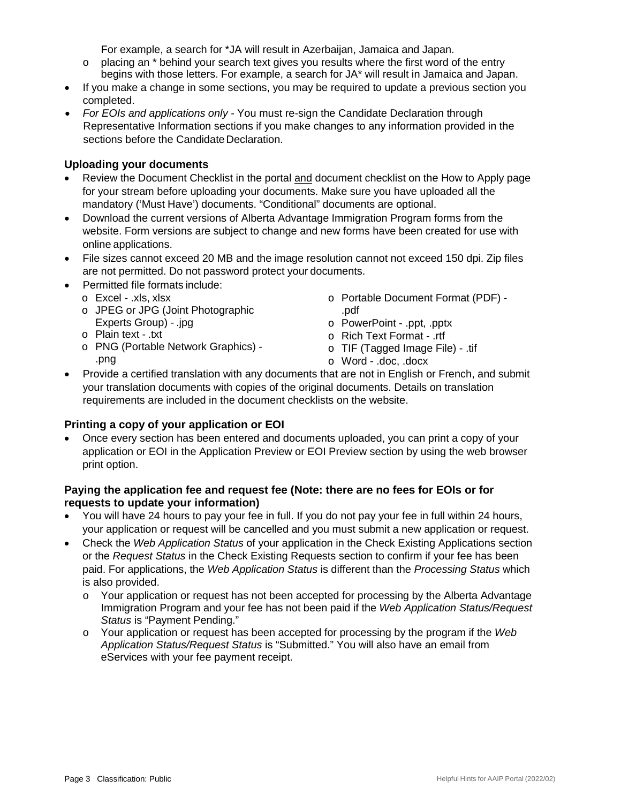For example, a search for \*JA will result in Azerbaijan, Jamaica and Japan.

- $\circ$  placing an  $*$  behind your search text gives you results where the first word of the entry begins with those letters. For example, a search for JA\* will result in Jamaica and Japan.
- If you make a change in some sections, you may be required to update a previous section you completed.
- *For EOIs and applications only -* You must re-sign the Candidate Declaration through Representative Information sections if you make changes to any information provided in the sections before the Candidate Declaration.

## **Uploading your documents**

- Review the Document Checklist in the portal and document checklist on the How to Apply page for your stream before uploading your documents. Make sure you have uploaded all the mandatory ('Must Have') documents. "Conditional" documents are optional.
- Download the current versions of Alberta Advantage Immigration Program forms from the website. Form versions are subject to change and new forms have been created for use with online applications.
- File sizes cannot exceed 20 MB and the image resolution cannot not exceed 150 dpi. Zip files are not permitted. Do not password protect your documents.
- Permitted file formats include:
	- o Excel .xls, xlsx
	- o JPEG or JPG (Joint Photographic Experts Group) - .jpg
	- o Plain text .txt
	- o PNG (Portable Network Graphics) .png
- o Portable Document Format (PDF) .pdf
- o PowerPoint .ppt, .pptx
- o Rich Text Format .rtf
- o TIF (Tagged Image File) .tif
	- o Word .doc, .docx
- Provide a certified translation with any documents that are not in English or French, and submit your translation documents with copies of the original documents. Details on translation requirements are included in the document checklists on the website.

# **Printing a copy of your application or EOI**

• Once every section has been entered and documents uploaded, you can print a copy of your application or EOI in the Application Preview or EOI Preview section by using the web browser print option.

## **Paying the application fee and request fee (Note: there are no fees for EOIs or for requests to update your information)**

- You will have 24 hours to pay your fee in full. If you do not pay your fee in full within 24 hours, your application or request will be cancelled and you must submit a new application or request.
- Check the *Web Application Status* of your application in the Check Existing Applications section or the *Request Status* in the Check Existing Requests section to confirm if your fee has been paid. For applications, the *Web Application Status* is different than the *Processing Status* which is also provided.
	- o Your application or request has not been accepted for processing by the Alberta Advantage Immigration Program and your fee has not been paid if the *Web Application Status/Request Status* is "Payment Pending."
	- o Your application or request has been accepted for processing by the program if the *Web Application Status/Request Status* is "Submitted." You will also have an email from eServices with your fee payment receipt.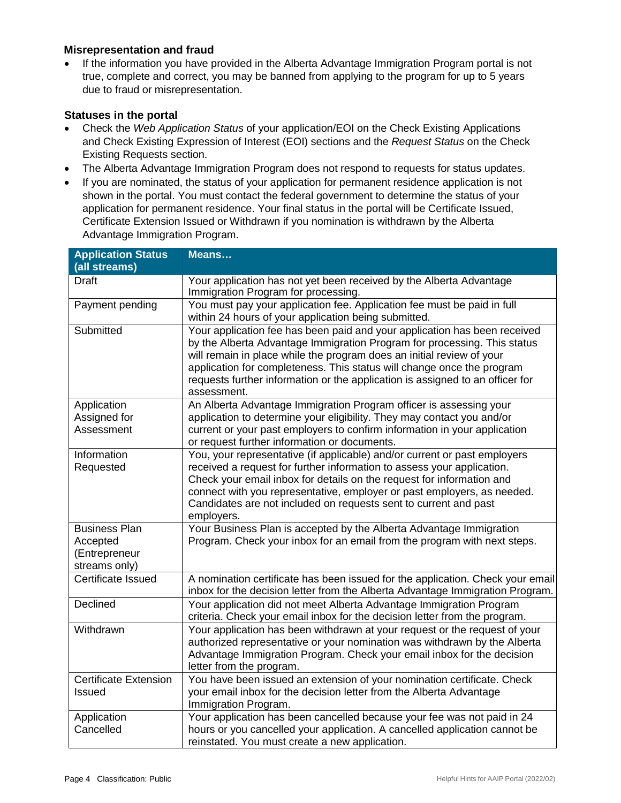#### **Misrepresentation and fraud**

• If the information you have provided in the Alberta Advantage Immigration Program portal is not true, complete and correct, you may be banned from applying to the program for up to 5 years due to fraud or misrepresentation.

#### **Statuses in the portal**

- Check the *Web Application Status* of your application/EOI on the Check Existing Applications and Check Existing Expression of Interest (EOI) sections and the *Request Status* on the Check Existing Requests section.
- The Alberta Advantage Immigration Program does not respond to requests for status updates.
- If you are nominated, the status of your application for permanent residence application is not shown in the portal. You must contact the federal government to determine the status of your application for permanent residence. Your final status in the portal will be Certificate Issued, Certificate Extension Issued or Withdrawn if you nomination is withdrawn by the Alberta Advantage Immigration Program.

| <b>Application Status</b><br>(all streams)                         | Means                                                                                                                                                                                                                                                                                                                                                                                                    |
|--------------------------------------------------------------------|----------------------------------------------------------------------------------------------------------------------------------------------------------------------------------------------------------------------------------------------------------------------------------------------------------------------------------------------------------------------------------------------------------|
| <b>Draft</b>                                                       | Your application has not yet been received by the Alberta Advantage<br>Immigration Program for processing.                                                                                                                                                                                                                                                                                               |
| Payment pending                                                    | You must pay your application fee. Application fee must be paid in full<br>within 24 hours of your application being submitted.                                                                                                                                                                                                                                                                          |
| Submitted                                                          | Your application fee has been paid and your application has been received<br>by the Alberta Advantage Immigration Program for processing. This status<br>will remain in place while the program does an initial review of your<br>application for completeness. This status will change once the program<br>requests further information or the application is assigned to an officer for<br>assessment. |
| Application<br>Assigned for<br>Assessment                          | An Alberta Advantage Immigration Program officer is assessing your<br>application to determine your eligibility. They may contact you and/or<br>current or your past employers to confirm information in your application<br>or request further information or documents.                                                                                                                                |
| Information<br>Requested                                           | You, your representative (if applicable) and/or current or past employers<br>received a request for further information to assess your application.<br>Check your email inbox for details on the request for information and<br>connect with you representative, employer or past employers, as needed.<br>Candidates are not included on requests sent to current and past<br>employers.                |
| <b>Business Plan</b><br>Accepted<br>(Entrepreneur<br>streams only) | Your Business Plan is accepted by the Alberta Advantage Immigration<br>Program. Check your inbox for an email from the program with next steps.                                                                                                                                                                                                                                                          |
| Certificate Issued                                                 | A nomination certificate has been issued for the application. Check your email<br>inbox for the decision letter from the Alberta Advantage Immigration Program.                                                                                                                                                                                                                                          |
| Declined                                                           | Your application did not meet Alberta Advantage Immigration Program<br>criteria. Check your email inbox for the decision letter from the program.                                                                                                                                                                                                                                                        |
| Withdrawn                                                          | Your application has been withdrawn at your request or the request of your<br>authorized representative or your nomination was withdrawn by the Alberta<br>Advantage Immigration Program. Check your email inbox for the decision<br>letter from the program.                                                                                                                                            |
| <b>Certificate Extension</b><br>Issued                             | You have been issued an extension of your nomination certificate. Check<br>your email inbox for the decision letter from the Alberta Advantage<br>Immigration Program.                                                                                                                                                                                                                                   |
| Application<br>Cancelled                                           | Your application has been cancelled because your fee was not paid in 24<br>hours or you cancelled your application. A cancelled application cannot be<br>reinstated. You must create a new application.                                                                                                                                                                                                  |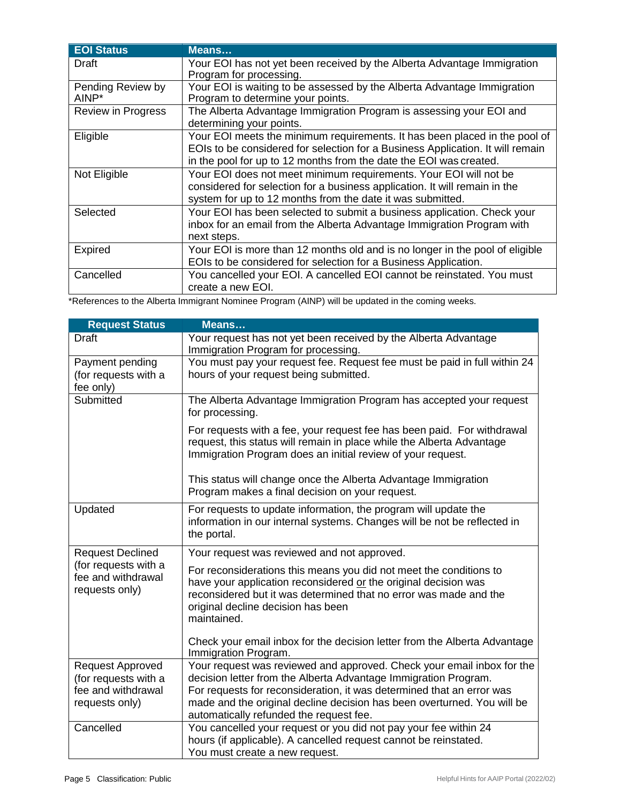| <b>EOI Status</b>          | Means                                                                                                                                                                                                                              |
|----------------------------|------------------------------------------------------------------------------------------------------------------------------------------------------------------------------------------------------------------------------------|
| Draft                      | Your EOI has not yet been received by the Alberta Advantage Immigration<br>Program for processing.                                                                                                                                 |
| Pending Review by<br>AINP* | Your EOI is waiting to be assessed by the Alberta Advantage Immigration<br>Program to determine your points.                                                                                                                       |
| Review in Progress         | The Alberta Advantage Immigration Program is assessing your EOI and<br>determining your points.                                                                                                                                    |
| Eligible                   | Your EOI meets the minimum requirements. It has been placed in the pool of<br>EOIs to be considered for selection for a Business Application. It will remain<br>in the pool for up to 12 months from the date the EOI was created. |
| Not Eligible               | Your EOI does not meet minimum requirements. Your EOI will not be<br>considered for selection for a business application. It will remain in the<br>system for up to 12 months from the date it was submitted.                      |
| Selected                   | Your EOI has been selected to submit a business application. Check your<br>inbox for an email from the Alberta Advantage Immigration Program with<br>next steps.                                                                   |
| Expired                    | Your EOI is more than 12 months old and is no longer in the pool of eligible<br>EOIs to be considered for selection for a Business Application.                                                                                    |
| Cancelled                  | You cancelled your EOI. A cancelled EOI cannot be reinstated. You must<br>create a new EOI.                                                                                                                                        |

\*References to the Alberta Immigrant Nominee Program (AINP) will be updated in the coming weeks.

| <b>Request Status</b>                                                                   | Means                                                                                                                                                                                                                                                                                                                                    |
|-----------------------------------------------------------------------------------------|------------------------------------------------------------------------------------------------------------------------------------------------------------------------------------------------------------------------------------------------------------------------------------------------------------------------------------------|
| Draft                                                                                   | Your request has not yet been received by the Alberta Advantage<br>Immigration Program for processing.                                                                                                                                                                                                                                   |
| Payment pending<br>(for requests with a<br>fee only)                                    | You must pay your request fee. Request fee must be paid in full within 24<br>hours of your request being submitted.                                                                                                                                                                                                                      |
| Submitted                                                                               | The Alberta Advantage Immigration Program has accepted your request<br>for processing.                                                                                                                                                                                                                                                   |
|                                                                                         | For requests with a fee, your request fee has been paid. For withdrawal<br>request, this status will remain in place while the Alberta Advantage<br>Immigration Program does an initial review of your request.                                                                                                                          |
|                                                                                         | This status will change once the Alberta Advantage Immigration<br>Program makes a final decision on your request.                                                                                                                                                                                                                        |
| Updated                                                                                 | For requests to update information, the program will update the<br>information in our internal systems. Changes will be not be reflected in<br>the portal.                                                                                                                                                                               |
| <b>Request Declined</b><br>(for requests with a<br>fee and withdrawal<br>requests only) | Your request was reviewed and not approved.                                                                                                                                                                                                                                                                                              |
|                                                                                         | For reconsiderations this means you did not meet the conditions to<br>have your application reconsidered or the original decision was<br>reconsidered but it was determined that no error was made and the<br>original decline decision has been<br>maintained.                                                                          |
|                                                                                         | Check your email inbox for the decision letter from the Alberta Advantage<br>Immigration Program.                                                                                                                                                                                                                                        |
| <b>Request Approved</b><br>(for requests with a<br>fee and withdrawal<br>requests only) | Your request was reviewed and approved. Check your email inbox for the<br>decision letter from the Alberta Advantage Immigration Program.<br>For requests for reconsideration, it was determined that an error was<br>made and the original decline decision has been overturned. You will be<br>automatically refunded the request fee. |
| Cancelled                                                                               | You cancelled your request or you did not pay your fee within 24<br>hours (if applicable). A cancelled request cannot be reinstated.<br>You must create a new request.                                                                                                                                                                   |